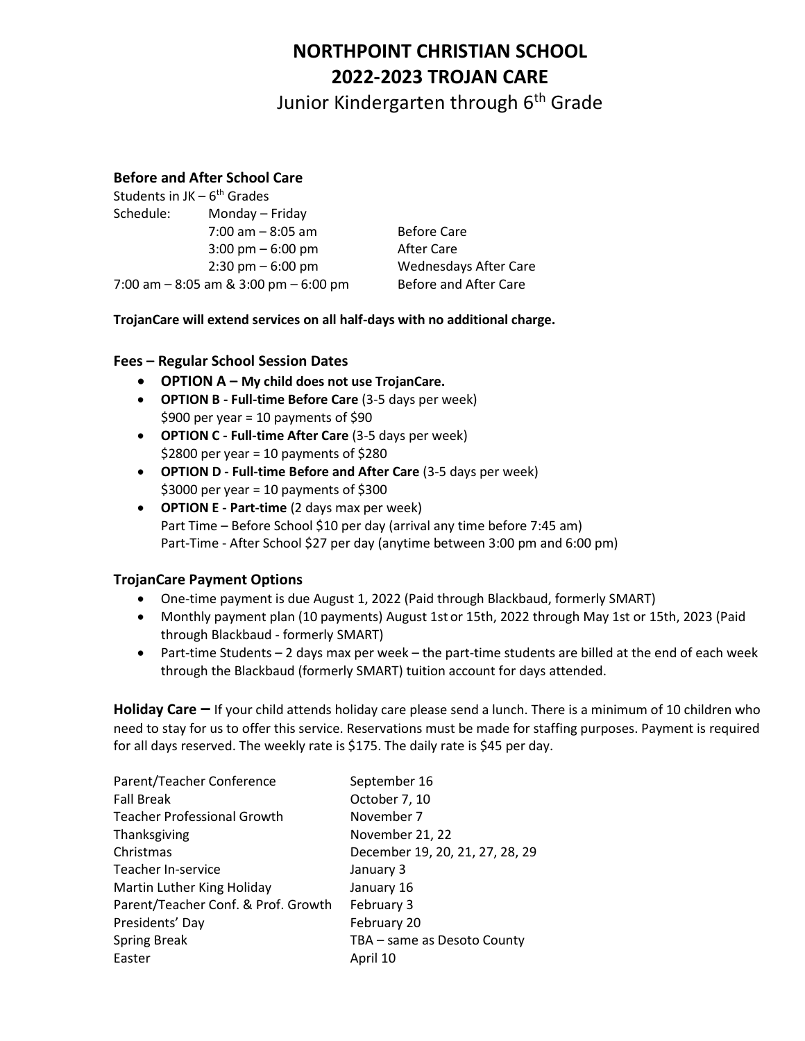# **NORTHPOINT CHRISTIAN SCHOOL 2022-2023 TROJAN CARE**

Junior Kindergarten through 6<sup>th</sup> Grade

### **Before and After School Care**

| Monday - Friday                     |                                                                            |
|-------------------------------------|----------------------------------------------------------------------------|
| $7:00$ am $-8:05$ am                | <b>Before Care</b>                                                         |
| $3:00 \text{ pm} - 6:00 \text{ pm}$ | After Care                                                                 |
| $2:30 \text{ pm} - 6:00 \text{ pm}$ | <b>Wednesdays After Care</b>                                               |
|                                     | Before and After Care                                                      |
|                                     | Students in $JK - 6th$ Grades<br>7:00 am $-$ 8:05 am & 3:00 pm $-$ 6:00 pm |

**TrojanCare will extend services on all half-days with no additional charge.**

### **Fees – Regular School Session Dates**

- **OPTION A – My child does not use TrojanCare.**
- **OPTION B - Full-time Before Care** (3-5 days per week)  $$900$  per year = 10 payments of  $$90$
- **OPTION C - Full-time After Care** (3-5 days per week) \$2800 per year = 10 payments of \$280
- **OPTION D - Full-time Before and After Care** (3-5 days per week)  $$3000$  per year = 10 payments of  $$300$
- **OPTION E - Part-time** (2 days max per week) Part Time – Before School \$10 per day (arrival any time before 7:45 am) Part-Time - After School \$27 per day (anytime between 3:00 pm and 6:00 pm)

### **TrojanCare Payment Options**

- One-time payment is due August 1, 2022 (Paid through Blackbaud, formerly SMART)
- Monthly payment plan (10 payments) August 1st or 15th, 2022 through May 1st or 15th, 2023 (Paid through Blackbaud - formerly SMART)
- $\bullet$  Part-time Students 2 days max per week the part-time students are billed at the end of each week through the Blackbaud (formerly SMART) tuition account for days attended.

**Holiday Care –** If your child attends holiday care please send a lunch. There is a minimum of 10 children who need to stay for us to offer this service. Reservations must be made for staffing purposes. Payment is required for all days reserved. The weekly rate is \$175. The daily rate is \$45 per day.

| September 16                    |
|---------------------------------|
| October 7, 10                   |
| November 7                      |
| November 21, 22                 |
| December 19, 20, 21, 27, 28, 29 |
| January 3                       |
| January 16                      |
| February 3                      |
| February 20                     |
| TBA - same as Desoto County     |
| April 10                        |
|                                 |